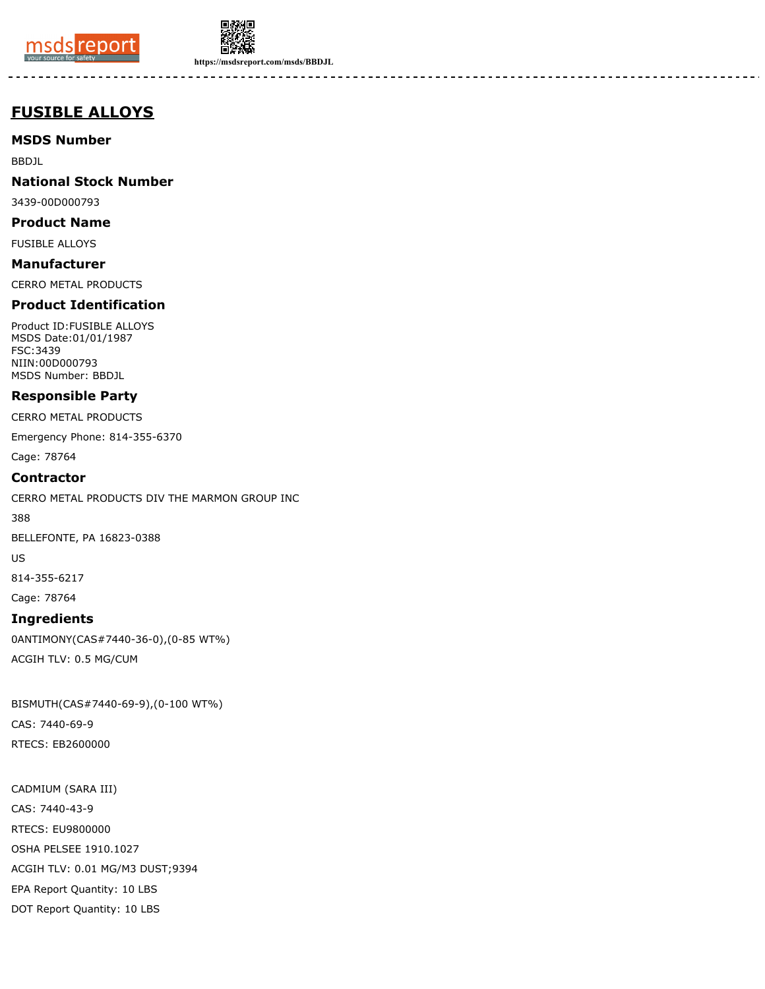



**https://msdsreport.com/msds/BBDJL**

# **FUSIBLE ALLOYS**

**MSDS Number**

BBDJL

**National Stock Number**

3439-00D000793

**Product Name**

FUSIBLE ALLOYS

**Manufacturer** CERRO METAL PRODUCTS

# **Product Identification**

Product ID:FUSIBLE ALLOYS MSDS Date:01/01/1987 FSC:3439 NIIN:00D000793 MSDS Number: BBDJL

# **Responsible Party**

CERRO METAL PRODUCTS

Emergency Phone: 814-355-6370

Cage: 78764

#### **Contractor**

CERRO METAL PRODUCTS DIV THE MARMON GROUP INC

388

BELLEFONTE, PA 16823-0388

US

814-355-6217

Cage: 78764

# **Ingredients**

0ANTIMONY(CAS#7440-36-0),(0-85 WT%) ACGIH TLV: 0.5 MG/CUM

BISMUTH(CAS#7440-69-9),(0-100 WT%) CAS: 7440-69-9 RTECS: EB2600000

CADMIUM (SARA III) CAS: 7440-43-9 RTECS: EU9800000 OSHA PELSEE 1910.1027 ACGIH TLV: 0.01 MG/M3 DUST;9394 EPA Report Quantity: 10 LBS DOT Report Quantity: 10 LBS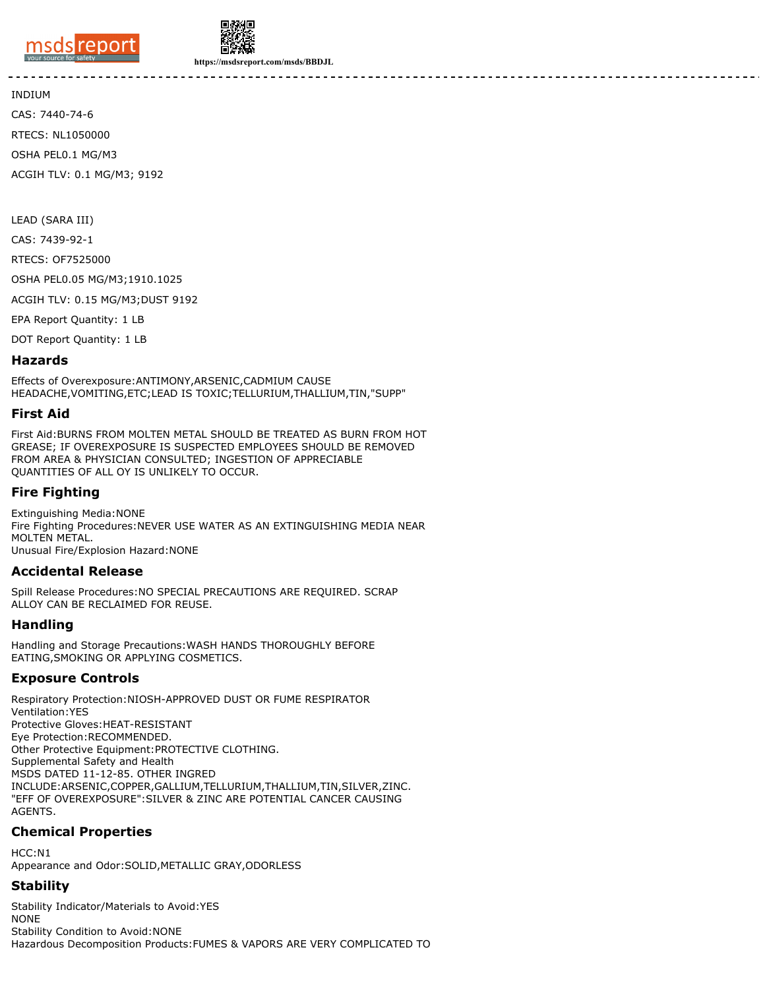



**https://msdsreport.com/msds/BBDJL**

INDIUM

CAS: 7440-74-6 RTECS: NL1050000 OSHA PEL0.1 MG/M3 ACGIH TLV: 0.1 MG/M3; 9192

LEAD (SARA III)

CAS: 7439-92-1

RTECS: OF7525000

OSHA PEL0.05 MG/M3;1910.1025

ACGIH TLV: 0.15 MG/M3;DUST 9192

EPA Report Quantity: 1 LB

DOT Report Quantity: 1 LB

#### **Hazards**

Effects of Overexposure:ANTIMONY,ARSENIC,CADMIUM CAUSE HEADACHE,VOMITING,ETC;LEAD IS TOXIC;TELLURIUM,THALLIUM,TIN,"SUPP"

#### **First Aid**

First Aid:BURNS FROM MOLTEN METAL SHOULD BE TREATED AS BURN FROM HOT GREASE; IF OVEREXPOSURE IS SUSPECTED EMPLOYEES SHOULD BE REMOVED FROM AREA & PHYSICIAN CONSULTED; INGESTION OF APPRECIABLE QUANTITIES OF ALL OY IS UNLIKELY TO OCCUR.

#### **Fire Fighting**

Extinguishing Media:NONE Fire Fighting Procedures:NEVER USE WATER AS AN EXTINGUISHING MEDIA NEAR MOLTEN METAL. Unusual Fire/Explosion Hazard:NONE

#### **Accidental Release**

Spill Release Procedures:NO SPECIAL PRECAUTIONS ARE REQUIRED. SCRAP ALLOY CAN BE RECLAIMED FOR REUSE.

# **Handling**

Handling and Storage Precautions:WASH HANDS THOROUGHLY BEFORE EATING,SMOKING OR APPLYING COSMETICS.

# **Exposure Controls**

Respiratory Protection:NIOSH-APPROVED DUST OR FUME RESPIRATOR Ventilation:YES Protective Gloves:HEAT-RESISTANT Eye Protection:RECOMMENDED. Other Protective Equipment:PROTECTIVE CLOTHING. Supplemental Safety and Health MSDS DATED 11-12-85. OTHER INGRED INCLUDE:ARSENIC,COPPER,GALLIUM,TELLURIUM,THALLIUM,TIN,SILVER,ZINC. "EFF OF OVEREXPOSURE":SILVER & ZINC ARE POTENTIAL CANCER CAUSING AGENTS.

# **Chemical Properties**

HCC:N1 Appearance and Odor:SOLID,METALLIC GRAY,ODORLESS

# **Stability**

Stability Indicator/Materials to Avoid:YES NONE Stability Condition to Avoid:NONE Hazardous Decomposition Products:FUMES & VAPORS ARE VERY COMPLICATED TO